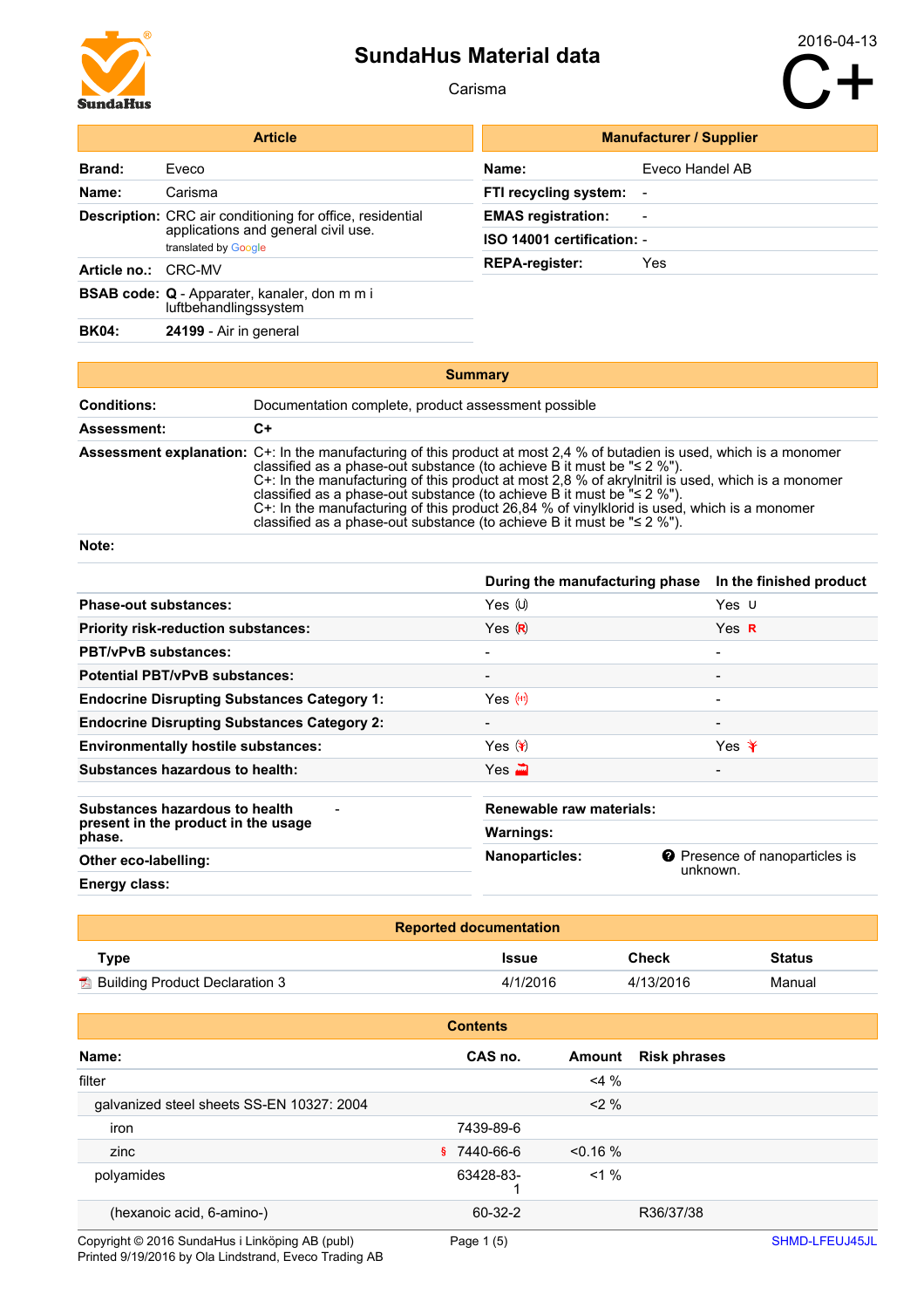

#### Carisma

|                                                                                                                                                                                                                                                                                                                                                                                                                                                                                                                                                                                     |                                                                              | <b>Article</b>                                      |                                | <b>Manufacturer / Supplier</b> |                                       |
|-------------------------------------------------------------------------------------------------------------------------------------------------------------------------------------------------------------------------------------------------------------------------------------------------------------------------------------------------------------------------------------------------------------------------------------------------------------------------------------------------------------------------------------------------------------------------------------|------------------------------------------------------------------------------|-----------------------------------------------------|--------------------------------|--------------------------------|---------------------------------------|
| <b>Brand:</b>                                                                                                                                                                                                                                                                                                                                                                                                                                                                                                                                                                       | Eveco                                                                        |                                                     | Name:                          | Eveco Handel AB                |                                       |
| Name:                                                                                                                                                                                                                                                                                                                                                                                                                                                                                                                                                                               | Carisma                                                                      |                                                     | FTI recycling system:          |                                |                                       |
| <b>Description:</b> CRC air conditioning for office, residential<br>applications and general civil use.<br>translated by Google                                                                                                                                                                                                                                                                                                                                                                                                                                                     |                                                                              | <b>EMAS</b> registration:                           |                                |                                |                                       |
|                                                                                                                                                                                                                                                                                                                                                                                                                                                                                                                                                                                     |                                                                              | ISO 14001 certification: -                          |                                |                                |                                       |
| Article no.: CRC-MV                                                                                                                                                                                                                                                                                                                                                                                                                                                                                                                                                                 |                                                                              |                                                     | <b>REPA-register:</b>          | Yes                            |                                       |
|                                                                                                                                                                                                                                                                                                                                                                                                                                                                                                                                                                                     | <b>BSAB code: Q</b> - Apparater, kanaler, don m m i<br>luftbehandlingssystem |                                                     |                                |                                |                                       |
| <b>BK04:</b>                                                                                                                                                                                                                                                                                                                                                                                                                                                                                                                                                                        | 24199 - Air in general                                                       |                                                     |                                |                                |                                       |
|                                                                                                                                                                                                                                                                                                                                                                                                                                                                                                                                                                                     |                                                                              |                                                     |                                |                                |                                       |
|                                                                                                                                                                                                                                                                                                                                                                                                                                                                                                                                                                                     |                                                                              | <b>Summary</b>                                      |                                |                                |                                       |
| <b>Conditions:</b>                                                                                                                                                                                                                                                                                                                                                                                                                                                                                                                                                                  |                                                                              | Documentation complete, product assessment possible |                                |                                |                                       |
| Assessment:                                                                                                                                                                                                                                                                                                                                                                                                                                                                                                                                                                         |                                                                              | C+                                                  |                                |                                |                                       |
| Assessment explanation: C+: In the manufacturing of this product at most 2,4 % of butadien is used, which is a monomer<br>classified as a phase-out substance (to achieve B it must be " $\leq$ 2 %").<br>$C+$ : In the manufacturing of this product at most 2,8 % of akrylnitril is used, which is a monomer<br>classified as a phase-out substance (to achieve B it must be $\leq 2$ %").<br>$C_{\pm}$ : In the manufacturing of this product 26,84 % of vinylklorid is used, which is a monomer<br>classified as a phase-out substance (to achieve B it must be " $\leq$ 2 %"). |                                                                              |                                                     |                                |                                |                                       |
| Note:                                                                                                                                                                                                                                                                                                                                                                                                                                                                                                                                                                               |                                                                              |                                                     |                                |                                |                                       |
|                                                                                                                                                                                                                                                                                                                                                                                                                                                                                                                                                                                     |                                                                              |                                                     | During the manufacturing phase |                                | In the finished product               |
| Phase-out substances:                                                                                                                                                                                                                                                                                                                                                                                                                                                                                                                                                               |                                                                              |                                                     | Yes $(U)$                      |                                | Yes U                                 |
| Priority risk-reduction substances:                                                                                                                                                                                                                                                                                                                                                                                                                                                                                                                                                 |                                                                              |                                                     | Yes $(R)$                      |                                | Yes $R$                               |
| <b>PBT/vPvB substances:</b>                                                                                                                                                                                                                                                                                                                                                                                                                                                                                                                                                         |                                                                              |                                                     |                                |                                |                                       |
|                                                                                                                                                                                                                                                                                                                                                                                                                                                                                                                                                                                     | <b>Potential PBT/vPvB substances:</b>                                        |                                                     |                                |                                |                                       |
|                                                                                                                                                                                                                                                                                                                                                                                                                                                                                                                                                                                     |                                                                              | <b>Endocrine Disrupting Substances Category 1:</b>  | $Yes$ $(H)$                    |                                |                                       |
| <b>Endocrine Disrupting Substances Category 2:</b>                                                                                                                                                                                                                                                                                                                                                                                                                                                                                                                                  |                                                                              |                                                     |                                |                                |                                       |
| <b>Environmentally hostile substances:</b>                                                                                                                                                                                                                                                                                                                                                                                                                                                                                                                                          |                                                                              |                                                     | Yes $(*)$                      |                                | Yes ¥                                 |
| <b>Substances hazardous to health:</b>                                                                                                                                                                                                                                                                                                                                                                                                                                                                                                                                              |                                                                              | $Yes \equiv$                                        |                                |                                |                                       |
|                                                                                                                                                                                                                                                                                                                                                                                                                                                                                                                                                                                     |                                                                              |                                                     | Renewable raw materials:       |                                |                                       |
| Substances hazardous to health<br>present in the product in the usage                                                                                                                                                                                                                                                                                                                                                                                                                                                                                                               |                                                                              | <b>Warnings:</b>                                    |                                |                                |                                       |
| phase.                                                                                                                                                                                                                                                                                                                                                                                                                                                                                                                                                                              |                                                                              |                                                     | <b>Nanoparticles:</b>          |                                | <b>O</b> Presence of nanoparticles is |
| Other eco-labelling:<br>Energy class:                                                                                                                                                                                                                                                                                                                                                                                                                                                                                                                                               |                                                                              |                                                     |                                | unknown.                       |                                       |
|                                                                                                                                                                                                                                                                                                                                                                                                                                                                                                                                                                                     |                                                                              |                                                     |                                |                                |                                       |

|                                         | <b>Reported documentation</b> |              |               |  |
|-----------------------------------------|-------------------------------|--------------|---------------|--|
| Type                                    | <b>Issue</b>                  | <b>Check</b> | <b>Status</b> |  |
| <b>E</b> Building Product Declaration 3 | 4/1/2016                      | 4/13/2016    | Manual        |  |

|                                           | <b>Contents</b> |             |                     |
|-------------------------------------------|-----------------|-------------|---------------------|
| Name:                                     | CAS no.         | Amount      | <b>Risk phrases</b> |
| filter                                    |                 | $<$ 4 %     |                     |
| galvanized steel sheets SS-EN 10327: 2004 |                 | $2\%$       |                     |
| iron                                      | 7439-89-6       |             |                     |
| zinc                                      | $$7440-66-6$    | $< 0.16 \%$ |                     |
| polyamides                                | 63428-83-       | $< 1 \%$    |                     |
| (hexanoic acid, 6-amino-)                 | 60-32-2         |             | R36/37/38           |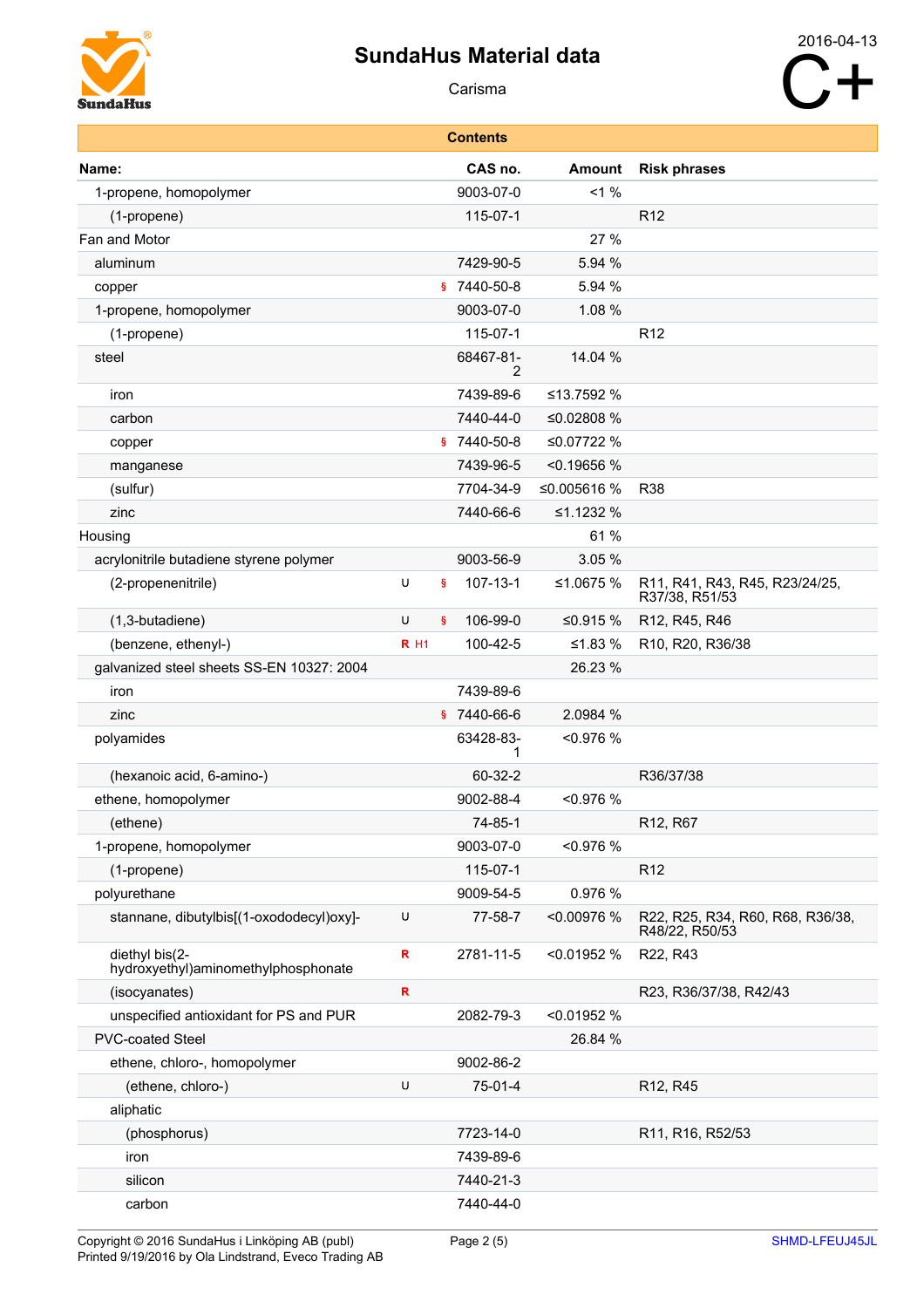

|                                                       |                         |    | <b>Contents</b> |               |                                                    |
|-------------------------------------------------------|-------------------------|----|-----------------|---------------|----------------------------------------------------|
| Name:                                                 |                         |    | CAS no.         | <b>Amount</b> | <b>Risk phrases</b>                                |
| 1-propene, homopolymer                                |                         |    | 9003-07-0       | $< 1 \%$      |                                                    |
| (1-propene)                                           |                         |    | 115-07-1        |               | R <sub>12</sub>                                    |
| Fan and Motor                                         |                         |    |                 | 27 %          |                                                    |
| aluminum                                              |                         |    | 7429-90-5       | 5.94 %        |                                                    |
| copper                                                |                         | S. | 7440-50-8       | 5.94 %        |                                                    |
| 1-propene, homopolymer                                |                         |    | 9003-07-0       | 1.08 %        |                                                    |
| (1-propene)                                           |                         |    | 115-07-1        |               | R <sub>12</sub>                                    |
| steel                                                 |                         |    | 68467-81-<br>2  | 14.04 %       |                                                    |
| iron                                                  |                         |    | 7439-89-6       | ≤13.7592 %    |                                                    |
| carbon                                                |                         |    | 7440-44-0       | ≤0.02808 %    |                                                    |
| copper                                                |                         |    | \$7440-50-8     | ≤0.07722 %    |                                                    |
| manganese                                             |                         |    | 7439-96-5       | < 0.19656 %   |                                                    |
| (sulfur)                                              |                         |    | 7704-34-9       | ≤0.005616 %   | <b>R38</b>                                         |
| zinc                                                  |                         |    | 7440-66-6       | ≤1.1232 %     |                                                    |
| Housing                                               |                         |    |                 | 61 %          |                                                    |
| acrylonitrile butadiene styrene polymer               |                         |    | 9003-56-9       | 3.05 %        |                                                    |
| (2-propenenitrile)                                    | U                       | S  | $107 - 13 - 1$  | ≤1.0675 %     | R11, R41, R43, R45, R23/24/25,<br>R37/38, R51/53   |
| (1,3-butadiene)                                       | U                       | ş  | 106-99-0        | ≤0.915 $%$    | R12, R45, R46                                      |
| (benzene, ethenyl-)                                   | <b>R</b> H <sub>1</sub> |    | 100-42-5        | ≤1.83 %       | R10, R20, R36/38                                   |
| galvanized steel sheets SS-EN 10327: 2004             |                         |    |                 | 26.23 %       |                                                    |
| iron                                                  |                         |    | 7439-89-6       |               |                                                    |
| zinc                                                  |                         |    | \$7440-66-6     | 2.0984 %      |                                                    |
| polyamides                                            |                         |    | 63428-83-<br>1  | <0.976 %      |                                                    |
| (hexanoic acid, 6-amino-)                             |                         |    | 60-32-2         |               | R36/37/38                                          |
| ethene, homopolymer                                   |                         |    | 9002-88-4       | < 0.976 %     |                                                    |
| (ethene)                                              |                         |    | 74-85-1         |               | R12, R67                                           |
| 1-propene, homopolymer                                |                         |    | 9003-07-0       | < 0.976 %     |                                                    |
| (1-propene)                                           |                         |    | 115-07-1        |               | R <sub>12</sub>                                    |
| polyurethane                                          |                         |    | 9009-54-5       | 0.976 %       |                                                    |
| stannane, dibutylbis[(1-oxododecyl)oxy]-              | U                       |    | 77-58-7         | <0.00976 %    | R22, R25, R34, R60, R68, R36/38,<br>R48/22, R50/53 |
| diethyl bis(2-<br>hydroxyethyl)aminomethylphosphonate | R                       |    | 2781-11-5       | < 0.01952 %   | R22, R43                                           |
| (isocyanates)                                         | R                       |    |                 |               | R23, R36/37/38, R42/43                             |
| unspecified antioxidant for PS and PUR                |                         |    | 2082-79-3       | <0.01952 %    |                                                    |
| PVC-coated Steel                                      |                         |    |                 | 26.84 %       |                                                    |
| ethene, chloro-, homopolymer                          |                         |    | 9002-86-2       |               |                                                    |
| (ethene, chloro-)                                     | U                       |    | 75-01-4         |               | R <sub>12</sub> , R <sub>45</sub>                  |
| aliphatic                                             |                         |    |                 |               |                                                    |
| (phosphorus)                                          |                         |    | 7723-14-0       |               | R11, R16, R52/53                                   |
| iron                                                  |                         |    | 7439-89-6       |               |                                                    |
| silicon                                               |                         |    | 7440-21-3       |               |                                                    |
| carbon                                                |                         |    | 7440-44-0       |               |                                                    |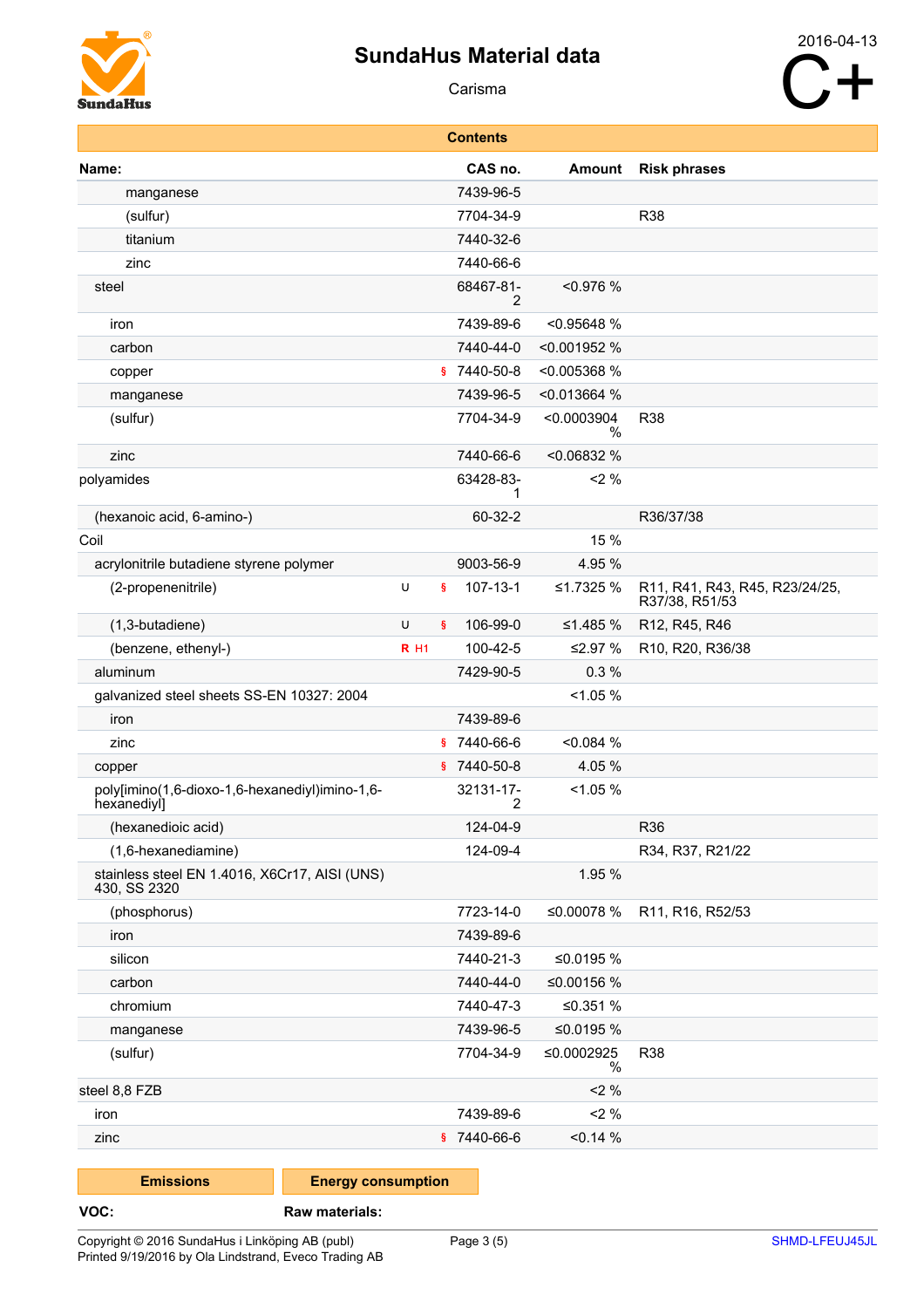

## Carisma

| CAS no.<br><b>Risk phrases</b><br>Name:<br><b>Amount</b><br>7439-96-5<br>manganese<br>7704-34-9<br><b>R38</b><br>(sulfur)<br>titanium<br>7440-32-6<br>zinc<br>7440-66-6<br>68467-81-<br>$< 0.976 \%$<br>steel<br>2<br>7439-89-6<br>< 0.95648 %<br>iron<br>7440-44-0<br><0.001952 %<br>carbon<br>\$7440-50-8<br><0.005368 %<br>copper<br>7439-96-5<br>< 0.013664 %<br>manganese<br>7704-34-9<br>< 0.0003904<br>R38<br>(sulfur)<br>$\%$<br><0.06832 %<br>7440-66-6<br>zinc<br>2%<br>63428-83-<br>polyamides<br>1<br>(hexanoic acid, 6-amino-)<br>60-32-2<br>R36/37/38<br>Coil<br>15 %<br>acrylonitrile butadiene styrene polymer<br>9003-56-9<br>4.95 %<br>U<br>(2-propenenitrile)<br>S<br>107-13-1<br>≤1.7325 %<br>R11, R41, R43, R45, R23/24/25,<br>R37/38, R51/53<br>U<br>106-99-0<br>S<br>≤1.485 %<br>R12, R45, R46<br>$(1, 3$ -butadiene) |  | <b>Contents</b> |  |
|----------------------------------------------------------------------------------------------------------------------------------------------------------------------------------------------------------------------------------------------------------------------------------------------------------------------------------------------------------------------------------------------------------------------------------------------------------------------------------------------------------------------------------------------------------------------------------------------------------------------------------------------------------------------------------------------------------------------------------------------------------------------------------------------------------------------------------------------|--|-----------------|--|
|                                                                                                                                                                                                                                                                                                                                                                                                                                                                                                                                                                                                                                                                                                                                                                                                                                              |  |                 |  |
|                                                                                                                                                                                                                                                                                                                                                                                                                                                                                                                                                                                                                                                                                                                                                                                                                                              |  |                 |  |
|                                                                                                                                                                                                                                                                                                                                                                                                                                                                                                                                                                                                                                                                                                                                                                                                                                              |  |                 |  |
|                                                                                                                                                                                                                                                                                                                                                                                                                                                                                                                                                                                                                                                                                                                                                                                                                                              |  |                 |  |
|                                                                                                                                                                                                                                                                                                                                                                                                                                                                                                                                                                                                                                                                                                                                                                                                                                              |  |                 |  |
|                                                                                                                                                                                                                                                                                                                                                                                                                                                                                                                                                                                                                                                                                                                                                                                                                                              |  |                 |  |
|                                                                                                                                                                                                                                                                                                                                                                                                                                                                                                                                                                                                                                                                                                                                                                                                                                              |  |                 |  |
|                                                                                                                                                                                                                                                                                                                                                                                                                                                                                                                                                                                                                                                                                                                                                                                                                                              |  |                 |  |
|                                                                                                                                                                                                                                                                                                                                                                                                                                                                                                                                                                                                                                                                                                                                                                                                                                              |  |                 |  |
|                                                                                                                                                                                                                                                                                                                                                                                                                                                                                                                                                                                                                                                                                                                                                                                                                                              |  |                 |  |
|                                                                                                                                                                                                                                                                                                                                                                                                                                                                                                                                                                                                                                                                                                                                                                                                                                              |  |                 |  |
|                                                                                                                                                                                                                                                                                                                                                                                                                                                                                                                                                                                                                                                                                                                                                                                                                                              |  |                 |  |
|                                                                                                                                                                                                                                                                                                                                                                                                                                                                                                                                                                                                                                                                                                                                                                                                                                              |  |                 |  |
|                                                                                                                                                                                                                                                                                                                                                                                                                                                                                                                                                                                                                                                                                                                                                                                                                                              |  |                 |  |
|                                                                                                                                                                                                                                                                                                                                                                                                                                                                                                                                                                                                                                                                                                                                                                                                                                              |  |                 |  |
|                                                                                                                                                                                                                                                                                                                                                                                                                                                                                                                                                                                                                                                                                                                                                                                                                                              |  |                 |  |
|                                                                                                                                                                                                                                                                                                                                                                                                                                                                                                                                                                                                                                                                                                                                                                                                                                              |  |                 |  |
|                                                                                                                                                                                                                                                                                                                                                                                                                                                                                                                                                                                                                                                                                                                                                                                                                                              |  |                 |  |
| (benzene, ethenyl-)<br><b>R</b> H <sub>1</sub><br>100-42-5<br>≤2.97 %<br>R10, R20, R36/38                                                                                                                                                                                                                                                                                                                                                                                                                                                                                                                                                                                                                                                                                                                                                    |  |                 |  |
| 0.3%<br>aluminum<br>7429-90-5                                                                                                                                                                                                                                                                                                                                                                                                                                                                                                                                                                                                                                                                                                                                                                                                                |  |                 |  |
| < 1.05 %<br>galvanized steel sheets SS-EN 10327: 2004                                                                                                                                                                                                                                                                                                                                                                                                                                                                                                                                                                                                                                                                                                                                                                                        |  |                 |  |
| 7439-89-6<br>iron                                                                                                                                                                                                                                                                                                                                                                                                                                                                                                                                                                                                                                                                                                                                                                                                                            |  |                 |  |
| 7440-66-6<br>$< 0.084 \%$<br>zinc<br>S                                                                                                                                                                                                                                                                                                                                                                                                                                                                                                                                                                                                                                                                                                                                                                                                       |  |                 |  |
| \$7440-50-8<br>4.05 %<br>copper                                                                                                                                                                                                                                                                                                                                                                                                                                                                                                                                                                                                                                                                                                                                                                                                              |  |                 |  |
| 32131-17-<br>< 1.05 %<br>poly[imino(1,6-dioxo-1,6-hexanediyl)imino-1,6-<br>2<br>hexanediyl]                                                                                                                                                                                                                                                                                                                                                                                                                                                                                                                                                                                                                                                                                                                                                  |  |                 |  |
| R36<br>(hexanedioic acid)<br>124-04-9                                                                                                                                                                                                                                                                                                                                                                                                                                                                                                                                                                                                                                                                                                                                                                                                        |  |                 |  |
| (1,6-hexanediamine)<br>124-09-4<br>R34, R37, R21/22                                                                                                                                                                                                                                                                                                                                                                                                                                                                                                                                                                                                                                                                                                                                                                                          |  |                 |  |
| stainless steel EN 1.4016, X6Cr17, AISI (UNS)<br>1.95 %<br>430, SS 2320                                                                                                                                                                                                                                                                                                                                                                                                                                                                                                                                                                                                                                                                                                                                                                      |  |                 |  |
| 7723-14-0<br>≤0.00078 %<br>R11, R16, R52/53<br>(phosphorus)                                                                                                                                                                                                                                                                                                                                                                                                                                                                                                                                                                                                                                                                                                                                                                                  |  |                 |  |
| 7439-89-6<br>iron                                                                                                                                                                                                                                                                                                                                                                                                                                                                                                                                                                                                                                                                                                                                                                                                                            |  |                 |  |
| silicon<br>7440-21-3<br>≤0.0195 %                                                                                                                                                                                                                                                                                                                                                                                                                                                                                                                                                                                                                                                                                                                                                                                                            |  |                 |  |
| 7440-44-0<br>≤0.00156 %<br>carbon                                                                                                                                                                                                                                                                                                                                                                                                                                                                                                                                                                                                                                                                                                                                                                                                            |  |                 |  |
| chromium<br>7440-47-3<br>≤0.351 $%$                                                                                                                                                                                                                                                                                                                                                                                                                                                                                                                                                                                                                                                                                                                                                                                                          |  |                 |  |
| 7439-96-5<br>≤0.0195 %<br>manganese                                                                                                                                                                                                                                                                                                                                                                                                                                                                                                                                                                                                                                                                                                                                                                                                          |  |                 |  |
| 7704-34-9<br>≤0.0002925<br><b>R38</b><br>(sulfur)<br>$\%$                                                                                                                                                                                                                                                                                                                                                                                                                                                                                                                                                                                                                                                                                                                                                                                    |  |                 |  |
| 2%<br>steel 8,8 FZB                                                                                                                                                                                                                                                                                                                                                                                                                                                                                                                                                                                                                                                                                                                                                                                                                          |  |                 |  |
| 2%<br>7439-89-6<br>iron                                                                                                                                                                                                                                                                                                                                                                                                                                                                                                                                                                                                                                                                                                                                                                                                                      |  |                 |  |
| \$7440-66-6<br>$< 0.14 \%$<br>zinc                                                                                                                                                                                                                                                                                                                                                                                                                                                                                                                                                                                                                                                                                                                                                                                                           |  |                 |  |

**Emissions**

**VOC:**

**Energy consumption**

**Raw materials:**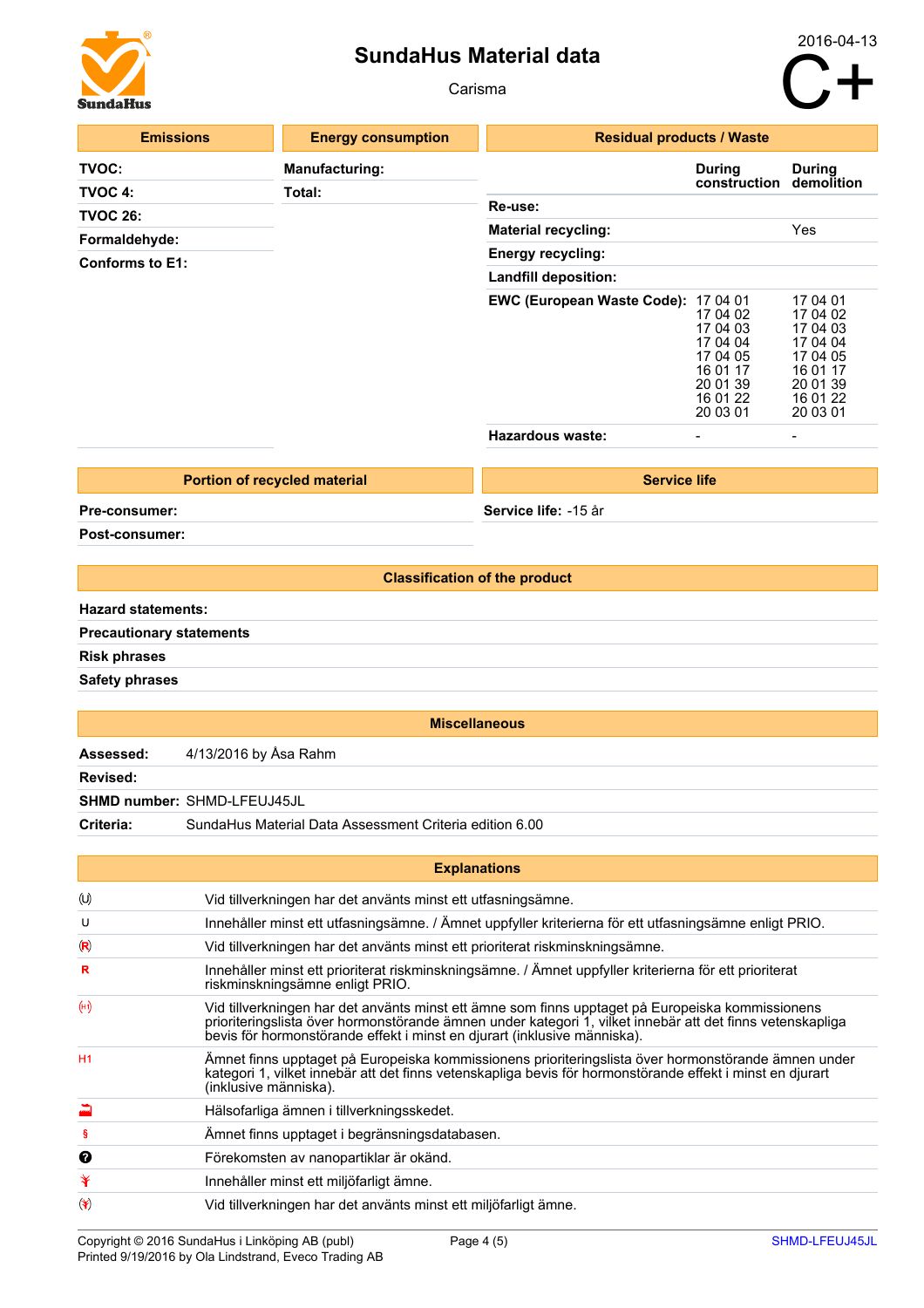

#### Carisma

| <b>Emissions</b> | <b>Energy consumption</b> | <b>Residual products / Waste</b>  |                                                                                                          |                                                                                                          |  |  |
|------------------|---------------------------|-----------------------------------|----------------------------------------------------------------------------------------------------------|----------------------------------------------------------------------------------------------------------|--|--|
| <b>TVOC:</b>     | <b>Manufacturing:</b>     |                                   | During                                                                                                   | <b>During</b>                                                                                            |  |  |
| TVOC 4:          | Total:                    |                                   | construction                                                                                             | demolition                                                                                               |  |  |
| <b>TVOC 26:</b>  |                           | Re-use:                           |                                                                                                          |                                                                                                          |  |  |
| Formaldehyde:    |                           | <b>Material recycling:</b>        | Yes                                                                                                      |                                                                                                          |  |  |
| Conforms to E1:  |                           | <b>Energy recycling:</b>          |                                                                                                          |                                                                                                          |  |  |
|                  |                           | Landfill deposition:              |                                                                                                          |                                                                                                          |  |  |
|                  |                           | <b>EWC (European Waste Code):</b> | 17 04 01<br>17 04 02<br>17 04 03<br>17 04 04<br>17 04 05<br>16 01 17<br>20 01 39<br>16 01 22<br>20 03 01 | 17 04 01<br>17 04 02<br>17 04 03<br>17 04 04<br>17 04 05<br>16 01 17<br>20 01 39<br>16 01 22<br>20 03 01 |  |  |
|                  |                           | <b>Hazardous waste:</b>           | -                                                                                                        | -                                                                                                        |  |  |

**Portion of recycled material**

**Service life:** -15 år

**Service life**

**Pre-consumer:**

**Post-consumer:**

**Classification of the product**

**Hazard statements:**

**Precautionary statements**

**Risk phrases**

**Safety phrases**

**Miscellaneous**

| Assessed: | 4/13/2016 by Åsa Rahm                                   |
|-----------|---------------------------------------------------------|
| Revised:  |                                                         |
|           | <b>SHMD number: SHMD-LFEUJ45JL</b>                      |
| Criteria: | SundaHus Material Data Assessment Criteria edition 6.00 |

|                            | <b>Explanations</b>                                                                                                                                                                                                                                                                       |
|----------------------------|-------------------------------------------------------------------------------------------------------------------------------------------------------------------------------------------------------------------------------------------------------------------------------------------|
| $\left(\bigcup\right)$     | Vid tillverkningen har det använts minst ett utfasningsämne.                                                                                                                                                                                                                              |
| U                          | Innehåller minst ett utfasningsämne. / Ämnet uppfyller kriterierna för ett utfasningsämne enligt PRIO.                                                                                                                                                                                    |
| $\left( \mathsf{R}\right)$ | Vid tillverkningen har det använts minst ett prioriterat riskminskningsämne.                                                                                                                                                                                                              |
| R                          | Innehåller minst ett prioriterat riskminskningsämne. / Ämnet uppfyller kriterierna för ett prioriterat<br>riskminskningsämne enligt PRIO.                                                                                                                                                 |
| (H)                        | Vid tillverkningen har det använts minst ett ämne som finns upptaget på Europeiska kommissionens<br>prioriteringslista över hormonstörande ämnen under kategori 1, vilket innebär att det finns vetenskapliga<br>bevis för hormonstörande effekt i minst en djurart (inklusive människa). |
| H1                         | Ämnet finns upptaget på Europeiska kommissionens prioriteringslista över hormonstörande ämnen under<br>kategori 1, vilket innebär att det finns vetenskapliga bevis för hormonstörande effekt i minst en djurart<br>(inklusive människa).                                                 |
| 画                          | Hälsofarliga ämnen i tillverkningsskedet.                                                                                                                                                                                                                                                 |
| S                          | Ämnet finns upptaget i begränsningsdatabasen.                                                                                                                                                                                                                                             |
| ❷                          | Förekomsten av nanopartiklar är okänd.                                                                                                                                                                                                                                                    |
| ¥                          | Innehåller minst ett miljöfarligt ämne.                                                                                                                                                                                                                                                   |
| $\circledast$              | Vid tillverkningen har det använts minst ett miljöfarligt ämne.                                                                                                                                                                                                                           |